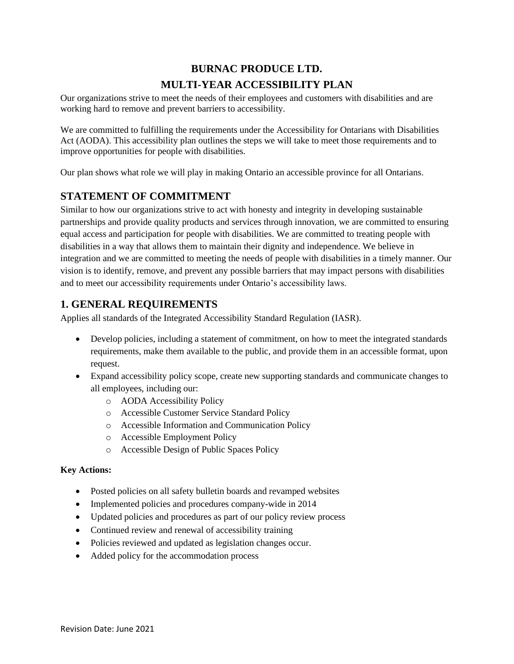# **BURNAC PRODUCE LTD. MULTI-YEAR ACCESSIBILITY PLAN**

Our organizations strive to meet the needs of their employees and customers with disabilities and are working hard to remove and prevent barriers to accessibility.

We are committed to fulfilling the requirements under the Accessibility for Ontarians with Disabilities Act (AODA). This accessibility plan outlines the steps we will take to meet those requirements and to improve opportunities for people with disabilities.

Our plan shows what role we will play in making Ontario an accessible province for all Ontarians.

# **STATEMENT OF COMMITMENT**

Similar to how our organizations strive to act with honesty and integrity in developing sustainable partnerships and provide quality products and services through innovation, we are committed to ensuring equal access and participation for people with disabilities. We are committed to treating people with disabilities in a way that allows them to maintain their dignity and independence. We believe in integration and we are committed to meeting the needs of people with disabilities in a timely manner. Our vision is to identify, remove, and prevent any possible barriers that may impact persons with disabilities and to meet our accessibility requirements under Ontario's accessibility laws.

# **1. GENERAL REQUIREMENTS**

Applies all standards of the Integrated Accessibility Standard Regulation (IASR).

- Develop policies, including a statement of commitment, on how to meet the integrated standards requirements, make them available to the public, and provide them in an accessible format, upon request.
- Expand accessibility policy scope, create new supporting standards and communicate changes to all employees, including our:
	- o AODA Accessibility Policy
	- o Accessible Customer Service Standard Policy
	- o Accessible Information and Communication Policy
	- o Accessible Employment Policy
	- o Accessible Design of Public Spaces Policy

## **Key Actions:**

- Posted policies on all safety bulletin boards and revamped websites
- Implemented policies and procedures company-wide in 2014
- Updated policies and procedures as part of our policy review process
- Continued review and renewal of accessibility training
- Policies reviewed and updated as legislation changes occur.
- Added policy for the accommodation process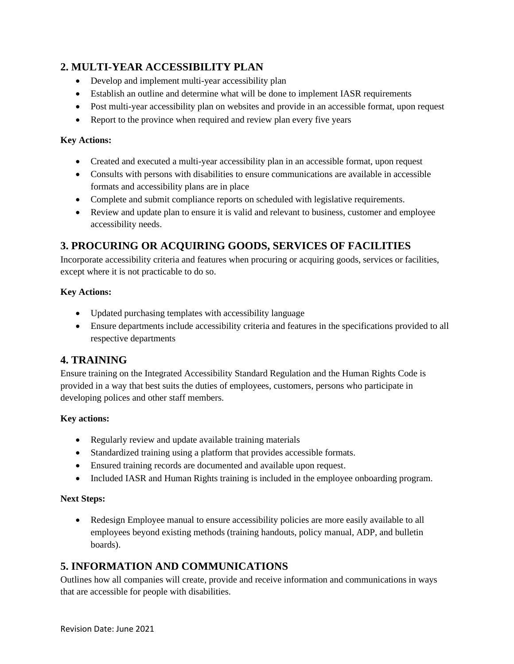# **2. MULTI-YEAR ACCESSIBILITY PLAN**

- Develop and implement multi-year accessibility plan
- Establish an outline and determine what will be done to implement IASR requirements
- Post multi-year accessibility plan on websites and provide in an accessible format, upon request
- Report to the province when required and review plan every five years

### **Key Actions:**

- Created and executed a multi-year accessibility plan in an accessible format, upon request
- Consults with persons with disabilities to ensure communications are available in accessible formats and accessibility plans are in place
- Complete and submit compliance reports on scheduled with legislative requirements.
- Review and update plan to ensure it is valid and relevant to business, customer and employee accessibility needs.

# **3. PROCURING OR ACQUIRING GOODS, SERVICES OF FACILITIES**

Incorporate accessibility criteria and features when procuring or acquiring goods, services or facilities, except where it is not practicable to do so.

## **Key Actions:**

- Updated purchasing templates with accessibility language
- Ensure departments include accessibility criteria and features in the specifications provided to all respective departments

# **4. TRAINING**

Ensure training on the Integrated Accessibility Standard Regulation and the Human Rights Code is provided in a way that best suits the duties of employees, customers, persons who participate in developing polices and other staff members.

## **Key actions:**

- Regularly review and update available training materials
- Standardized training using a platform that provides accessible formats.
- Ensured training records are documented and available upon request.
- Included IASR and Human Rights training is included in the employee onboarding program.

### **Next Steps:**

• Redesign Employee manual to ensure accessibility policies are more easily available to all employees beyond existing methods (training handouts, policy manual, ADP, and bulletin boards).

# **5. INFORMATION AND COMMUNICATIONS**

Outlines how all companies will create, provide and receive information and communications in ways that are accessible for people with disabilities.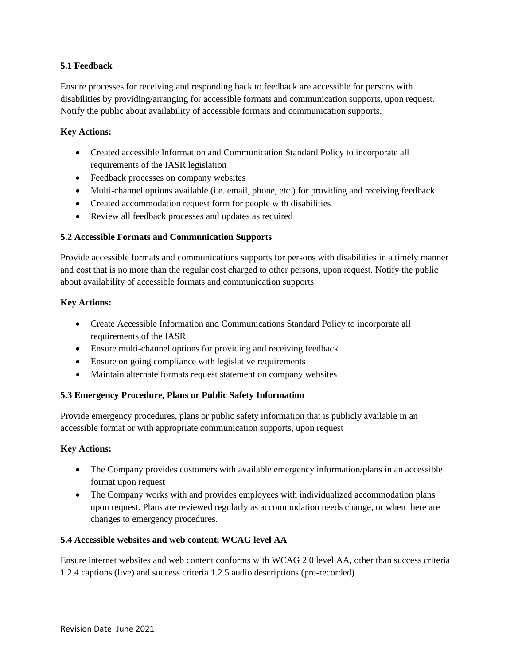## **5.1 Feedback**

Ensure processes for receiving and responding back to feedback are accessible for persons with disabilities by providing/arranging for accessible formats and communication supports, upon request. Notify the public about availability of accessible formats and communication supports.

### **Key Actions:**

- Created accessible Information and Communication Standard Policy to incorporate all requirements of the IASR legislation
- Feedback processes on company websites
- Multi-channel options available (i.e. email, phone, etc.) for providing and receiving feedback
- Created accommodation request form for people with disabilities
- Review all feedback processes and updates as required

### **5.2 Accessible Formats and Communication Supports**

Provide accessible formats and communications supports for persons with disabilities in a timely manner and cost that is no more than the regular cost charged to other persons, upon request. Notify the public about availability of accessible formats and communication supports.

### **Key Actions:**

- Create Accessible Information and Communications Standard Policy to incorporate all requirements of the IASR
- Ensure multi-channel options for providing and receiving feedback
- Ensure on going compliance with legislative requirements
- Maintain alternate formats request statement on company websites

## **5.3 Emergency Procedure, Plans or Public Safety Information**

Provide emergency procedures, plans or public safety information that is publicly available in an accessible format or with appropriate communication supports, upon request

### **Key Actions:**

- The Company provides customers with available emergency information/plans in an accessible format upon request
- The Company works with and provides employees with individualized accommodation plans upon request. Plans are reviewed regularly as accommodation needs change, or when there are changes to emergency procedures.

### **5.4 Accessible websites and web content, WCAG level AA**

Ensure internet websites and web content conforms with WCAG 2.0 level AA, other than success criteria 1.2.4 captions (live) and success criteria 1.2.5 audio descriptions (pre-recorded)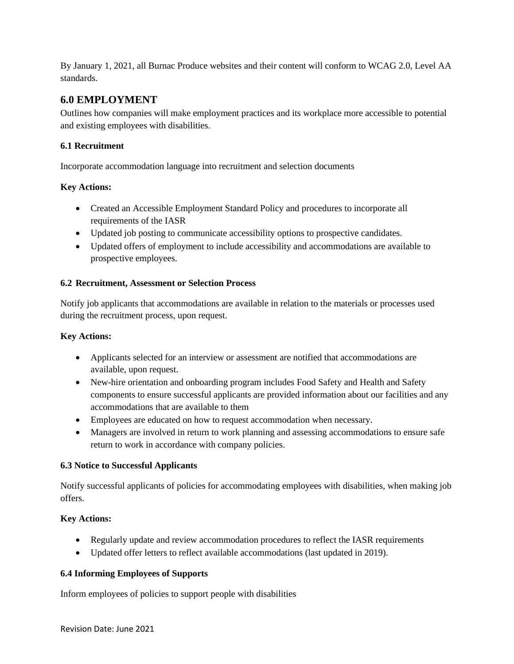By January 1, 2021, all Burnac Produce websites and their content will conform to WCAG 2.0, Level AA standards.

# **6.0 EMPLOYMENT**

Outlines how companies will make employment practices and its workplace more accessible to potential and existing employees with disabilities.

# **6.1 Recruitment**

Incorporate accommodation language into recruitment and selection documents

# **Key Actions:**

- Created an Accessible Employment Standard Policy and procedures to incorporate all requirements of the IASR
- Updated job posting to communicate accessibility options to prospective candidates.
- Updated offers of employment to include accessibility and accommodations are available to prospective employees.

# **6.2 Recruitment, Assessment or Selection Process**

Notify job applicants that accommodations are available in relation to the materials or processes used during the recruitment process, upon request.

# **Key Actions:**

- Applicants selected for an interview or assessment are notified that accommodations are available, upon request.
- New-hire orientation and onboarding program includes Food Safety and Health and Safety components to ensure successful applicants are provided information about our facilities and any accommodations that are available to them
- Employees are educated on how to request accommodation when necessary.
- Managers are involved in return to work planning and assessing accommodations to ensure safe return to work in accordance with company policies.

## **6.3 Notice to Successful Applicants**

Notify successful applicants of policies for accommodating employees with disabilities, when making job offers.

# **Key Actions:**

- Regularly update and review accommodation procedures to reflect the IASR requirements
- Updated offer letters to reflect available accommodations (last updated in 2019).

## **6.4 Informing Employees of Supports**

Inform employees of policies to support people with disabilities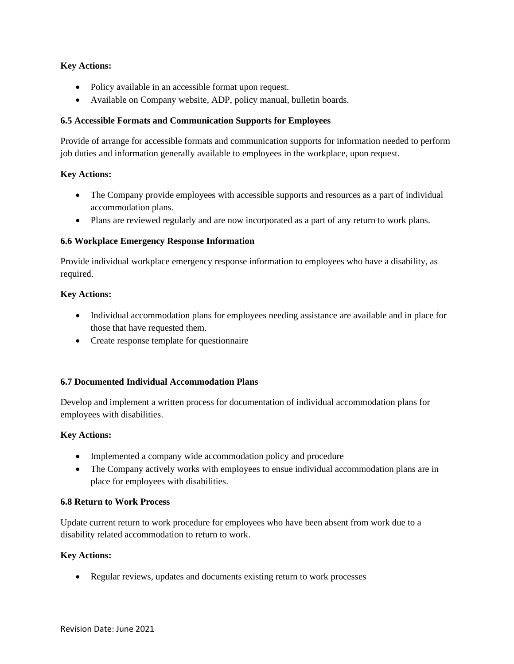### **Key Actions:**

- Policy available in an accessible format upon request.
- Available on Company website, ADP, policy manual, bulletin boards.

### **6.5 Accessible Formats and Communication Supports for Employees**

Provide of arrange for accessible formats and communication supports for information needed to perform job duties and information generally available to employees in the workplace, upon request.

### **Key Actions:**

- The Company provide employees with accessible supports and resources as a part of individual accommodation plans.
- Plans are reviewed regularly and are now incorporated as a part of any return to work plans.

### **6.6 Workplace Emergency Response Information**

Provide individual workplace emergency response information to employees who have a disability, as required.

### **Key Actions:**

- Individual accommodation plans for employees needing assistance are available and in place for those that have requested them.
- Create response template for questionnaire

### **6.7 Documented Individual Accommodation Plans**

Develop and implement a written process for documentation of individual accommodation plans for employees with disabilities.

### **Key Actions:**

- Implemented a company wide accommodation policy and procedure
- The Company actively works with employees to ensue individual accommodation plans are in place for employees with disabilities.

### **6.8 Return to Work Process**

Update current return to work procedure for employees who have been absent from work due to a disability related accommodation to return to work.

### **Key Actions:**

• Regular reviews, updates and documents existing return to work processes